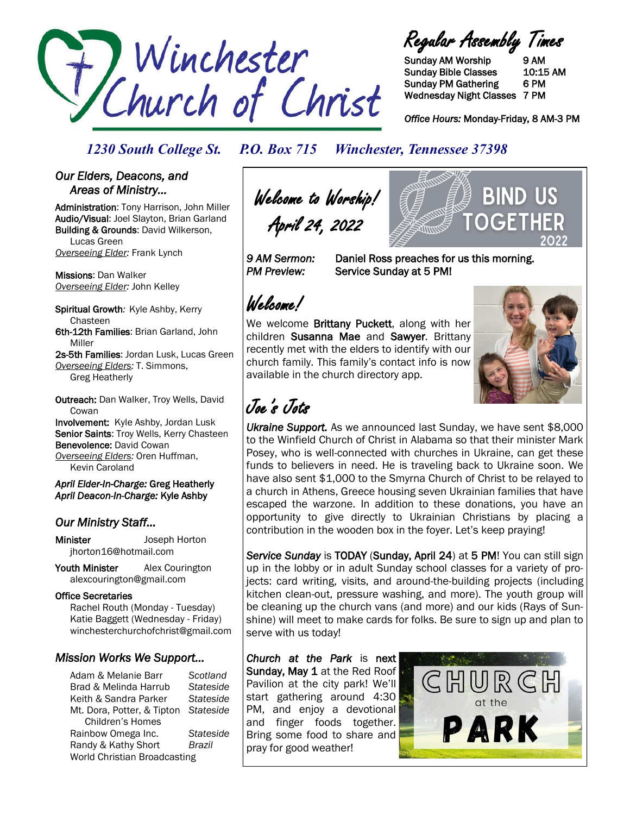

Regular Assembly Times

Sunday AM Worship 9 AM Sunday Bible Classes 10:15 AM Sunday PM Gathering 6 PM Wednesday Night Classes 7 PM

*Office Hours:* Monday-Friday, 8 AM-3 PM

### *1230 South College St. P.O. Box 715 Winchester, Tennessee 37398*

#### *Our Elders, Deacons, and Areas of Ministry…*

Administration: Tony Harrison, John Miller Audio/Visual: Joel Slayton, Brian Garland Building & Grounds: David Wilkerson, Lucas Green *Overseeing Elder:* Frank Lynch

Missions: Dan Walker *Overseeing Elder:* John Kelley

Spiritual Growth*:* Kyle Ashby, Kerry Chasteen 6th-12th Families: Brian Garland, John Miller

2s-5th Families: Jordan Lusk, Lucas Green *Overseeing Elders:* T. Simmons, Greg Heatherly

Outreach: Dan Walker, Troy Wells, David **Cowan** 

Involvement: Kyle Ashby, Jordan Lusk Senior Saints: Troy Wells, Kerry Chasteen Benevolence: David Cowan *Overseeing Elders:* Oren Huffman, Kevin Caroland

*April Elder-In-Charge:* Greg Heatherly *April Deacon-In-Charge:* Kyle Ashby

## *Our Ministry Staff…*

Minister Joseph Horton jhorton16@hotmail.com

Youth Minister Alex Courington alexcourington@gmail.com

#### Office Secretaries

 Rachel Routh (Monday - Tuesday) Katie Baggett (Wednesday - Friday) winchesterchurchofchrist@gmail.com

### *Mission Works We Support…*

Adam & Melanie Barr *Scotland* Brad & Melinda Harrub *Stateside* Keith & Sandra Parker *Stateside* Mt. Dora, Potter, & Tipton *Stateside* Children's Homes Rainbow Omega Inc. *Stateside* Randy & Kathy Short *Brazil* World Christian Broadcasting

Welcome to Worship! April 24, 2022

*9 AM Sermon:* Daniel Ross preaches for us this morning. **PM Preview:** Service Sunday at 5 PM!

# Welcome!

We welcome **Brittany Puckett**, along with her children Susanna Mae and Sawyer. Brittany recently met with the elders to identify with our church family. This family's contact info is now available in the church directory app.



**BIND US** 

OGET

Joe's Jots

*Ukraine Support.* As we announced last Sunday, we have sent \$8,000 to the Winfield Church of Christ in Alabama so that their minister Mark Posey, who is well-connected with churches in Ukraine, can get these funds to believers in need. He is traveling back to Ukraine soon. We have also sent \$1,000 to the Smyrna Church of Christ to be relayed to a church in Athens, Greece housing seven Ukrainian families that have escaped the warzone. In addition to these donations, you have an opportunity to give directly to Ukrainian Christians by placing a contribution in the wooden box in the foyer. Let's keep praying!

Service Sunday is TODAY (Sunday, April 24) at 5 PM! You can still sign up in the lobby or in adult Sunday school classes for a variety of projects: card writing, visits, and around-the-building projects (including kitchen clean-out, pressure washing, and more). The youth group will be cleaning up the church vans (and more) and our kids (Rays of Sunshine) will meet to make cards for folks. Be sure to sign up and plan to serve with us today!

*Church at the Park* is next Sunday, May 1 at the Red Roof Pavilion at the city park! We'll start gathering around 4:30 PM, and enjoy a devotional and finger foods together. Bring some food to share and pray for good weather!